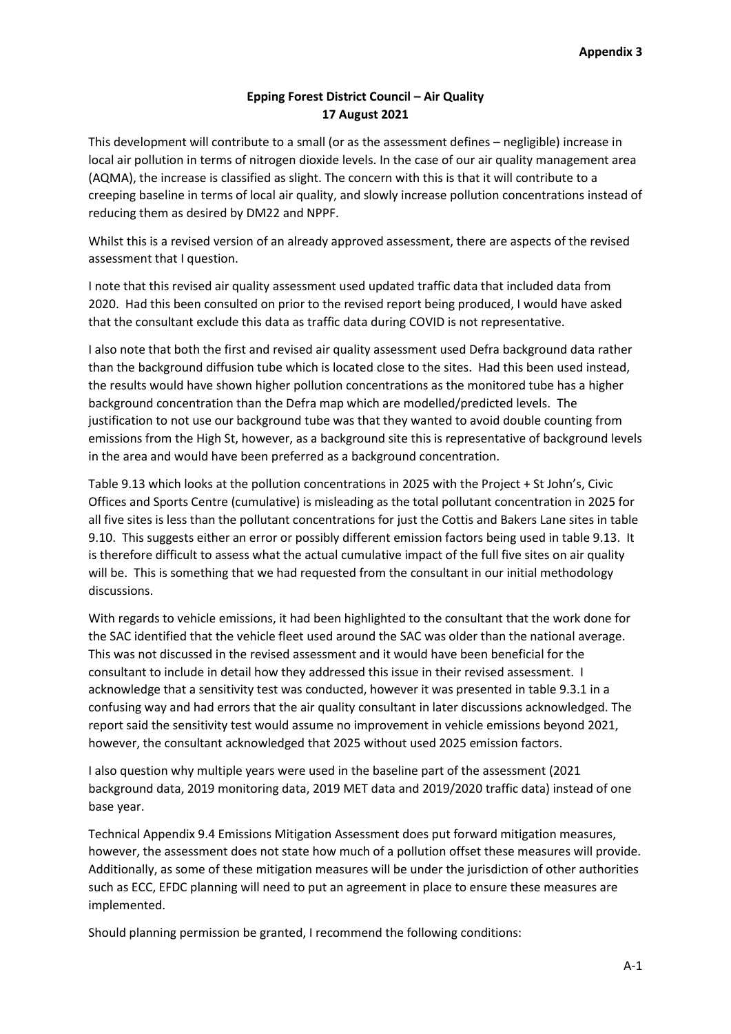# **Epping Forest District Council – Air Quality 17 August 2021**

This development will contribute to a small (or as the assessment defines – negligible) increase in local air pollution in terms of nitrogen dioxide levels. In the case of our air quality management area (AQMA), the increase is classified as slight. The concern with this is that it will contribute to a creeping baseline in terms of local air quality, and slowly increase pollution concentrations instead of reducing them as desired by DM22 and NPPF.

Whilst this is a revised version of an already approved assessment, there are aspects of the revised assessment that I question.

I note that this revised air quality assessment used updated traffic data that included data from 2020. Had this been consulted on prior to the revised report being produced, I would have asked that the consultant exclude this data as traffic data during COVID is not representative.

I also note that both the first and revised air quality assessment used Defra background data rather than the background diffusion tube which is located close to the sites. Had this been used instead, the results would have shown higher pollution concentrations as the monitored tube has a higher background concentration than the Defra map which are modelled/predicted levels. The justification to not use our background tube was that they wanted to avoid double counting from emissions from the High St, however, as a background site this is representative of background levels in the area and would have been preferred as a background concentration.

Table 9.13 which looks at the pollution concentrations in 2025 with the Project + St John's, Civic Offices and Sports Centre (cumulative) is misleading as the total pollutant concentration in 2025 for all five sites is less than the pollutant concentrations for just the Cottis and Bakers Lane sites in table 9.10. This suggests either an error or possibly different emission factors being used in table 9.13. It is therefore difficult to assess what the actual cumulative impact of the full five sites on air quality will be. This is something that we had requested from the consultant in our initial methodology discussions.

With regards to vehicle emissions, it had been highlighted to the consultant that the work done for the SAC identified that the vehicle fleet used around the SAC was older than the national average. This was not discussed in the revised assessment and it would have been beneficial for the consultant to include in detail how they addressed this issue in their revised assessment. I acknowledge that a sensitivity test was conducted, however it was presented in table 9.3.1 in a confusing way and had errors that the air quality consultant in later discussions acknowledged. The report said the sensitivity test would assume no improvement in vehicle emissions beyond 2021, however, the consultant acknowledged that 2025 without used 2025 emission factors.

I also question why multiple years were used in the baseline part of the assessment (2021 background data, 2019 monitoring data, 2019 MET data and 2019/2020 traffic data) instead of one base year.

Technical Appendix 9.4 Emissions Mitigation Assessment does put forward mitigation measures, however, the assessment does not state how much of a pollution offset these measures will provide. Additionally, as some of these mitigation measures will be under the jurisdiction of other authorities such as ECC, EFDC planning will need to put an agreement in place to ensure these measures are implemented.

Should planning permission be granted, I recommend the following conditions: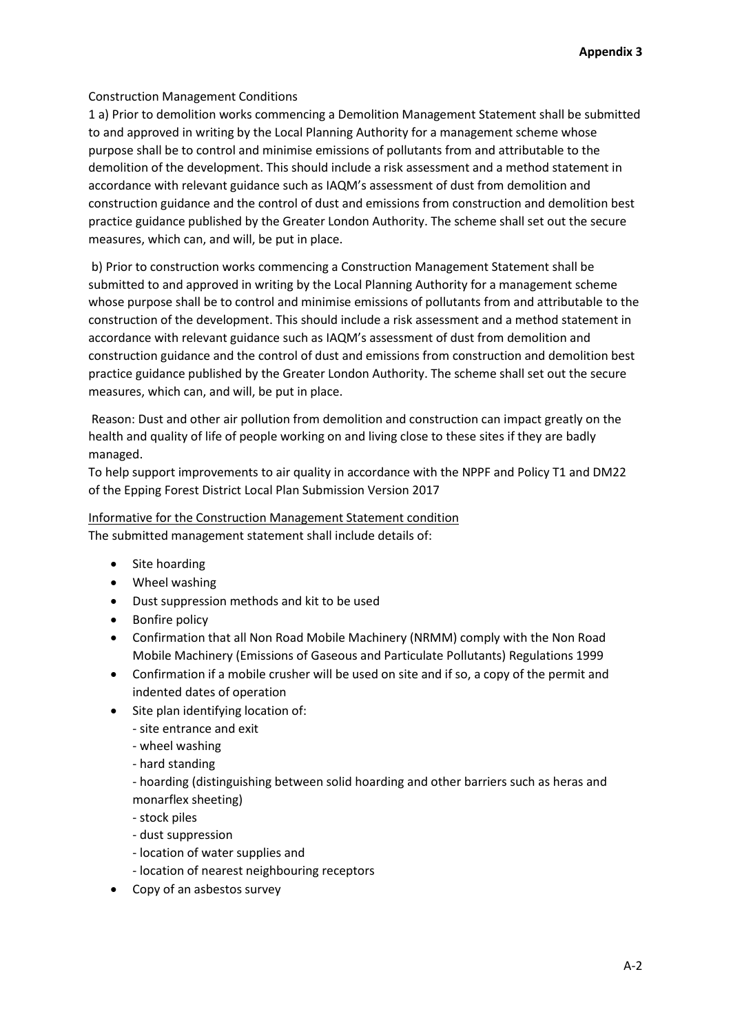## Construction Management Conditions

1 a) Prior to demolition works commencing a Demolition Management Statement shall be submitted to and approved in writing by the Local Planning Authority for a management scheme whose purpose shall be to control and minimise emissions of pollutants from and attributable to the demolition of the development. This should include a risk assessment and a method statement in accordance with relevant guidance such as IAQM's assessment of dust from demolition and construction guidance and the control of dust and emissions from construction and demolition best practice guidance published by the Greater London Authority. The scheme shall set out the secure measures, which can, and will, be put in place.

b) Prior to construction works commencing a Construction Management Statement shall be submitted to and approved in writing by the Local Planning Authority for a management scheme whose purpose shall be to control and minimise emissions of pollutants from and attributable to the construction of the development. This should include a risk assessment and a method statement in accordance with relevant guidance such as IAQM's assessment of dust from demolition and construction guidance and the control of dust and emissions from construction and demolition best practice guidance published by the Greater London Authority. The scheme shall set out the secure measures, which can, and will, be put in place.

Reason: Dust and other air pollution from demolition and construction can impact greatly on the health and quality of life of people working on and living close to these sites if they are badly managed.

To help support improvements to air quality in accordance with the NPPF and Policy T1 and DM22 of the Epping Forest District Local Plan Submission Version 2017

Informative for the Construction Management Statement condition The submitted management statement shall include details of:

- Site hoarding
- Wheel washing
- Dust suppression methods and kit to be used
- Bonfire policy
- Confirmation that all Non Road Mobile Machinery (NRMM) comply with the Non Road Mobile Machinery (Emissions of Gaseous and Particulate Pollutants) Regulations 1999
- Confirmation if a mobile crusher will be used on site and if so, a copy of the permit and indented dates of operation
- Site plan identifying location of:
	- site entrance and exit
	- wheel washing
	- hard standing

- hoarding (distinguishing between solid hoarding and other barriers such as heras and monarflex sheeting)

- stock piles
- dust suppression
- location of water supplies and
- location of nearest neighbouring receptors
- Copy of an asbestos survey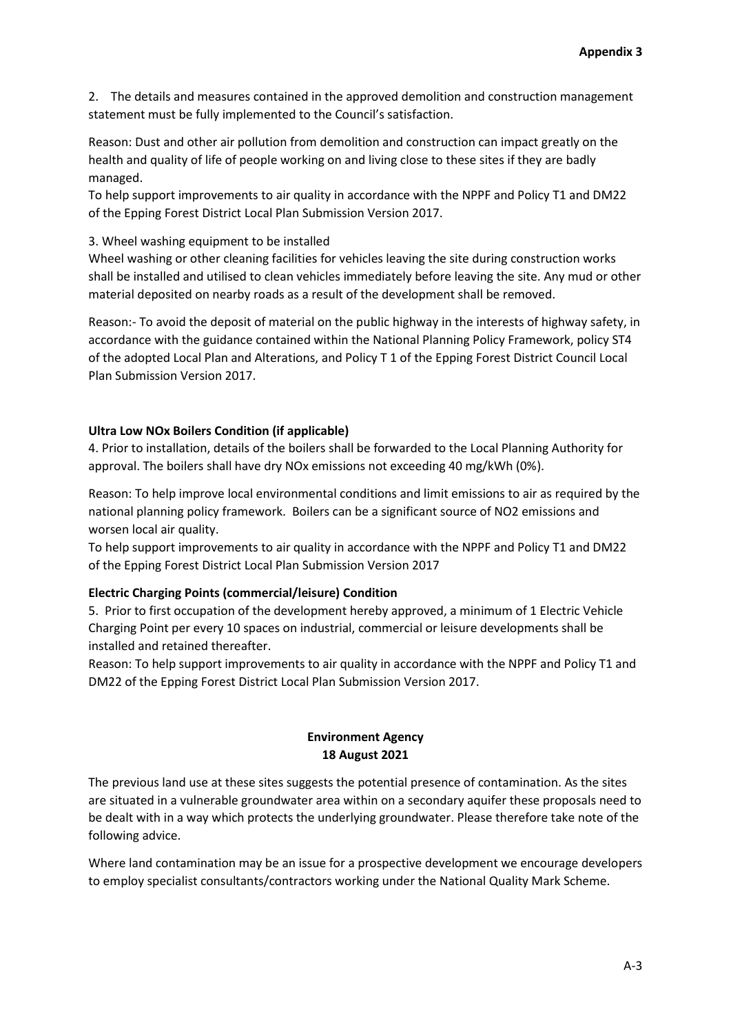2. The details and measures contained in the approved demolition and construction management statement must be fully implemented to the Council's satisfaction.

Reason: Dust and other air pollution from demolition and construction can impact greatly on the health and quality of life of people working on and living close to these sites if they are badly managed.

To help support improvements to air quality in accordance with the NPPF and Policy T1 and DM22 of the Epping Forest District Local Plan Submission Version 2017.

### 3. Wheel washing equipment to be installed

Wheel washing or other cleaning facilities for vehicles leaving the site during construction works shall be installed and utilised to clean vehicles immediately before leaving the site. Any mud or other material deposited on nearby roads as a result of the development shall be removed.

Reason:- To avoid the deposit of material on the public highway in the interests of highway safety, in accordance with the guidance contained within the National Planning Policy Framework, policy ST4 of the adopted Local Plan and Alterations, and Policy T 1 of the Epping Forest District Council Local Plan Submission Version 2017.

#### **Ultra Low NOx Boilers Condition (if applicable)**

4. Prior to installation, details of the boilers shall be forwarded to the Local Planning Authority for approval. The boilers shall have dry NOx emissions not exceeding 40 mg/kWh (0%).

Reason: To help improve local environmental conditions and limit emissions to air as required by the national planning policy framework. Boilers can be a significant source of NO2 emissions and worsen local air quality.

To help support improvements to air quality in accordance with the NPPF and Policy T1 and DM22 of the Epping Forest District Local Plan Submission Version 2017

### **Electric Charging Points (commercial/leisure) Condition**

5. Prior to first occupation of the development hereby approved, a minimum of 1 Electric Vehicle Charging Point per every 10 spaces on industrial, commercial or leisure developments shall be installed and retained thereafter.

Reason: To help support improvements to air quality in accordance with the NPPF and Policy T1 and DM22 of the Epping Forest District Local Plan Submission Version 2017.

## **Environment Agency 18 August 2021**

The previous land use at these sites suggests the potential presence of contamination. As the sites are situated in a vulnerable groundwater area within on a secondary aquifer these proposals need to be dealt with in a way which protects the underlying groundwater. Please therefore take note of the following advice.

Where land contamination may be an issue for a prospective development we encourage developers to employ specialist consultants/contractors working under the National Quality Mark Scheme.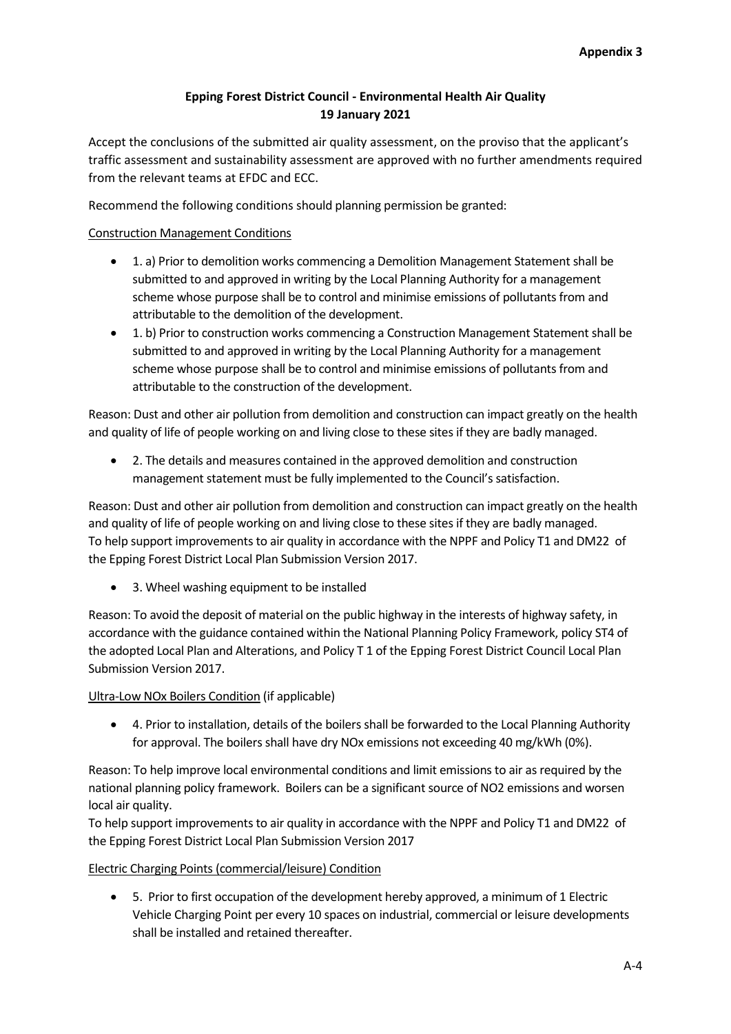# **Epping Forest District Council - Environmental Health Air Quality 19 January 2021**

Accept the conclusions of the submitted air quality assessment, on the proviso that the applicant's traffic assessment and sustainability assessment are approved with no further amendments required from the relevant teams at EFDC and ECC.

Recommend the following conditions should planning permission be granted:

## Construction Management Conditions

- 1. a) Prior to demolition works commencing a Demolition Management Statement shall be submitted to and approved in writing by the Local Planning Authority for a management scheme whose purpose shall be to control and minimise emissions of pollutants from and attributable to the demolition of the development.
- 1. b) Prior to construction works commencing a Construction Management Statement shall be submitted to and approved in writing by the Local Planning Authority for a management scheme whose purpose shall be to control and minimise emissions of pollutants from and attributable to the construction of the development.

Reason: Dust and other air pollution from demolition and construction can impact greatly on the health and quality of life of people working on and living close to these sites if they are badly managed.

 2. The details and measures contained in the approved demolition and construction management statement must be fully implemented to the Council's satisfaction.

Reason: Dust and other air pollution from demolition and construction can impact greatly on the health and quality of life of people working on and living close to these sites if they are badly managed. To help support improvements to air quality in accordance with the NPPF and Policy T1 and DM22 of the Epping Forest District Local Plan Submission Version 2017.

• 3. Wheel washing equipment to be installed

Reason: To avoid the deposit of material on the public highway in the interests of highway safety, in accordance with the guidance contained within the National Planning Policy Framework, policy ST4 of the adopted Local Plan and Alterations, and Policy T 1 of the Epping Forest District Council Local Plan Submission Version 2017.

### Ultra-Low NOx Boilers Condition (if applicable)

 4. Prior to installation, details of the boilers shall be forwarded to the Local Planning Authority for approval. The boilers shall have dry NOx emissions not exceeding 40 mg/kWh (0%).

Reason: To help improve local environmental conditions and limit emissions to air as required by the national planning policy framework. Boilers can be a significant source of NO2 emissions and worsen local air quality.

To help support improvements to air quality in accordance with the NPPF and Policy T1 and DM22 of the Epping Forest District Local Plan Submission Version 2017

### Electric Charging Points (commercial/leisure) Condition

 5. Prior to first occupation of the development hereby approved, a minimum of 1 Electric Vehicle Charging Point per every 10 spaces on industrial, commercial or leisure developments shall be installed and retained thereafter.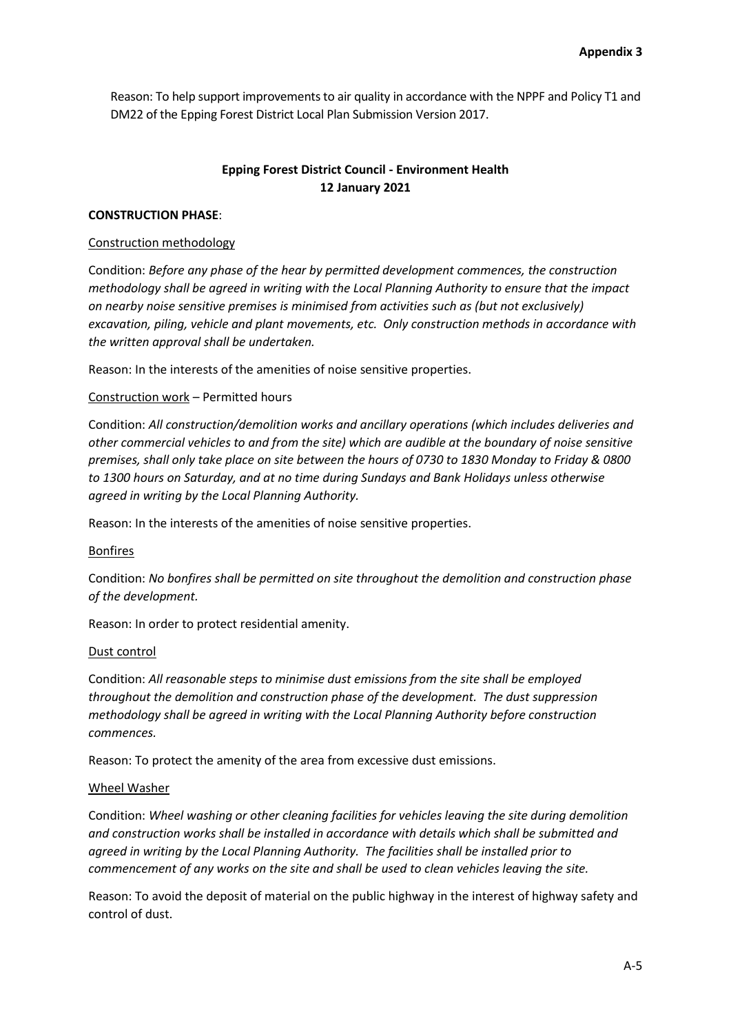Reason: To help support improvements to air quality in accordance with the NPPF and Policy T1 and DM22 of the Epping Forest District Local Plan Submission Version 2017.

## **Epping Forest District Council - Environment Health 12 January 2021**

### **CONSTRUCTION PHASE**:

### Construction methodology

Condition: *Before any phase of the hear by permitted development commences, the construction methodology shall be agreed in writing with the Local Planning Authority to ensure that the impact on nearby noise sensitive premises is minimised from activities such as (but not exclusively) excavation, piling, vehicle and plant movements, etc. Only construction methods in accordance with the written approval shall be undertaken.*

Reason: In the interests of the amenities of noise sensitive properties.

## Construction work – Permitted hours

Condition: *All construction/demolition works and ancillary operations (which includes deliveries and other commercial vehicles to and from the site) which are audible at the boundary of noise sensitive premises, shall only take place on site between the hours of 0730 to 1830 Monday to Friday & 0800 to 1300 hours on Saturday, and at no time during Sundays and Bank Holidays unless otherwise agreed in writing by the Local Planning Authority.*

Reason: In the interests of the amenities of noise sensitive properties.

### Bonfires

Condition: *No bonfires shall be permitted on site throughout the demolition and construction phase of the development.*

Reason: In order to protect residential amenity.

### Dust control

Condition: *All reasonable steps to minimise dust emissions from the site shall be employed throughout the demolition and construction phase of the development. The dust suppression methodology shall be agreed in writing with the Local Planning Authority before construction commences.*

Reason: To protect the amenity of the area from excessive dust emissions.

### Wheel Washer

Condition: *Wheel washing or other cleaning facilities for vehicles leaving the site during demolition and construction works shall be installed in accordance with details which shall be submitted and agreed in writing by the Local Planning Authority. The facilities shall be installed prior to commencement of any works on the site and shall be used to clean vehicles leaving the site.*

Reason: To avoid the deposit of material on the public highway in the interest of highway safety and control of dust.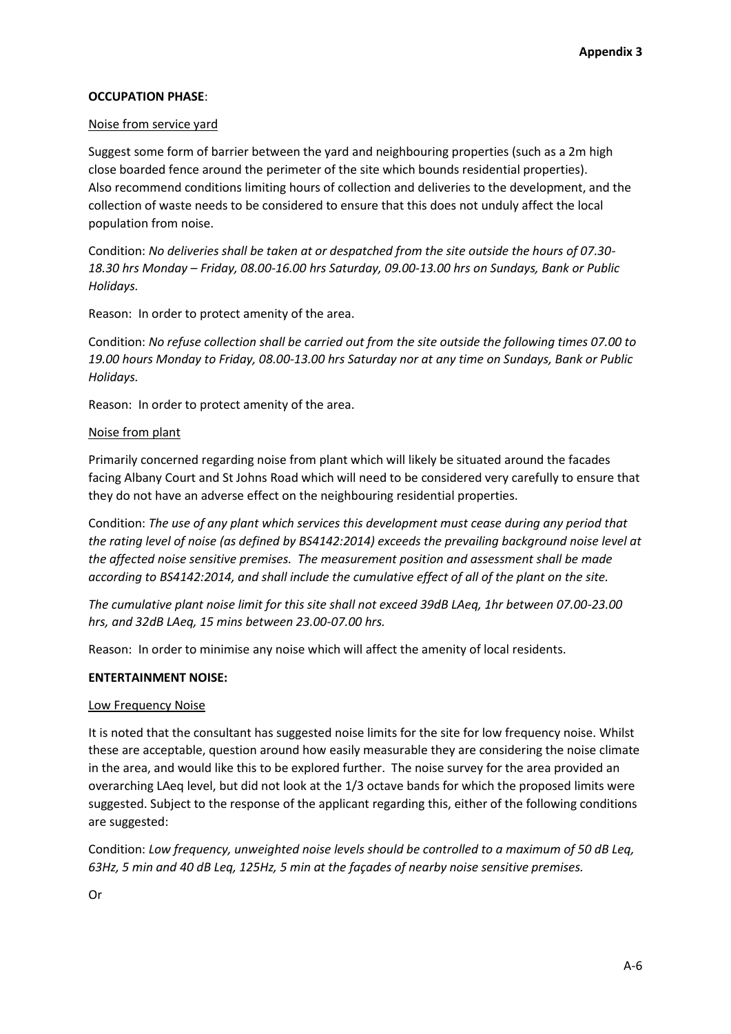## **OCCUPATION PHASE**:

### Noise from service yard

Suggest some form of barrier between the yard and neighbouring properties (such as a 2m high close boarded fence around the perimeter of the site which bounds residential properties). Also recommend conditions limiting hours of collection and deliveries to the development, and the collection of waste needs to be considered to ensure that this does not unduly affect the local population from noise.

Condition: *No deliveries shall be taken at or despatched from the site outside the hours of 07.30- 18.30 hrs Monday – Friday, 08.00-16.00 hrs Saturday, 09.00-13.00 hrs on Sundays, Bank or Public Holidays.*

Reason: In order to protect amenity of the area.

Condition: *No refuse collection shall be carried out from the site outside the following times 07.00 to 19.00 hours Monday to Friday, 08.00-13.00 hrs Saturday nor at any time on Sundays, Bank or Public Holidays.*

Reason: In order to protect amenity of the area.

### Noise from plant

Primarily concerned regarding noise from plant which will likely be situated around the facades facing Albany Court and St Johns Road which will need to be considered very carefully to ensure that they do not have an adverse effect on the neighbouring residential properties.

Condition: *The use of any plant which services this development must cease during any period that the rating level of noise (as defined by BS4142:2014) exceeds the prevailing background noise level at the affected noise sensitive premises. The measurement position and assessment shall be made according to BS4142:2014, and shall include the cumulative effect of all of the plant on the site.* 

*The cumulative plant noise limit for this site shall not exceed 39dB LAeq, 1hr between 07.00-23.00 hrs, and 32dB LAeq, 15 mins between 23.00-07.00 hrs.*

Reason: In order to minimise any noise which will affect the amenity of local residents.

### **ENTERTAINMENT NOISE:**

### Low Frequency Noise

It is noted that the consultant has suggested noise limits for the site for low frequency noise. Whilst these are acceptable, question around how easily measurable they are considering the noise climate in the area, and would like this to be explored further. The noise survey for the area provided an overarching LAeq level, but did not look at the 1/3 octave bands for which the proposed limits were suggested. Subject to the response of the applicant regarding this, either of the following conditions are suggested:

Condition: *Low frequency, unweighted noise levels should be controlled to a maximum of 50 dB Leq, 63Hz, 5 min and 40 dB Leq, 125Hz, 5 min at the façades of nearby noise sensitive premises.*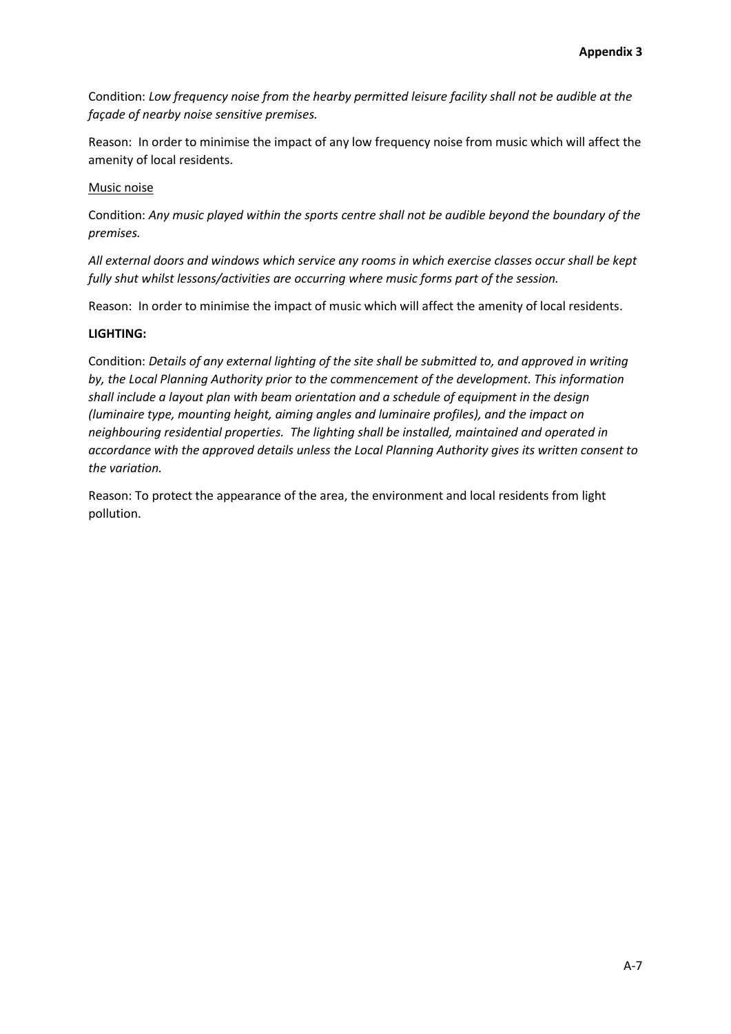Condition: *Low frequency noise from the hearby permitted leisure facility shall not be audible at the façade of nearby noise sensitive premises.*

Reason: In order to minimise the impact of any low frequency noise from music which will affect the amenity of local residents.

### Music noise

Condition: *Any music played within the sports centre shall not be audible beyond the boundary of the premises.*

*All external doors and windows which service any rooms in which exercise classes occur shall be kept fully shut whilst lessons/activities are occurring where music forms part of the session.* 

Reason: In order to minimise the impact of music which will affect the amenity of local residents.

#### **LIGHTING:**

Condition: *Details of any external lighting of the site shall be submitted to, and approved in writing by, the Local Planning Authority prior to the commencement of the development. This information shall include a layout plan with beam orientation and a schedule of equipment in the design (luminaire type, mounting height, aiming angles and luminaire profiles), and the impact on neighbouring residential properties. The lighting shall be installed, maintained and operated in accordance with the approved details unless the Local Planning Authority gives its written consent to the variation.*

Reason: To protect the appearance of the area, the environment and local residents from light pollution.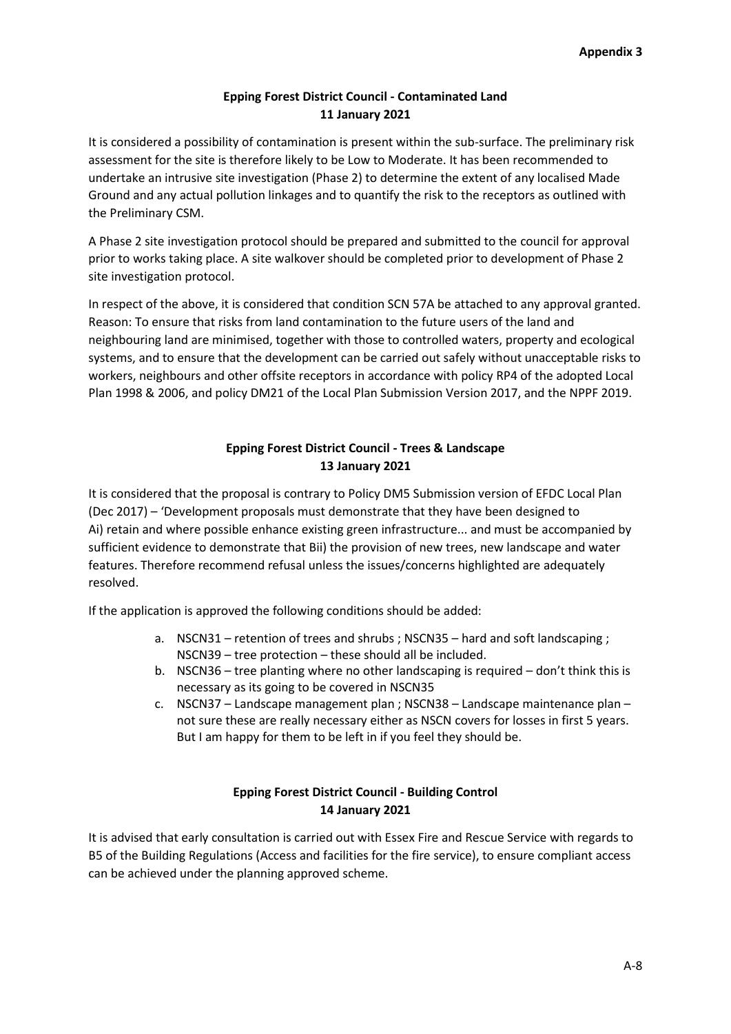# **Epping Forest District Council - Contaminated Land 11 January 2021**

It is considered a possibility of contamination is present within the sub-surface. The preliminary risk assessment for the site is therefore likely to be Low to Moderate. It has been recommended to undertake an intrusive site investigation (Phase 2) to determine the extent of any localised Made Ground and any actual pollution linkages and to quantify the risk to the receptors as outlined with the Preliminary CSM.

A Phase 2 site investigation protocol should be prepared and submitted to the council for approval prior to works taking place. A site walkover should be completed prior to development of Phase 2 site investigation protocol.

In respect of the above, it is considered that condition SCN 57A be attached to any approval granted. Reason: To ensure that risks from land contamination to the future users of the land and neighbouring land are minimised, together with those to controlled waters, property and ecological systems, and to ensure that the development can be carried out safely without unacceptable risks to workers, neighbours and other offsite receptors in accordance with policy RP4 of the adopted Local Plan 1998 & 2006, and policy DM21 of the Local Plan Submission Version 2017, and the NPPF 2019.

# **Epping Forest District Council - Trees & Landscape 13 January 2021**

It is considered that the proposal is contrary to Policy DM5 Submission version of EFDC Local Plan (Dec 2017) – 'Development proposals must demonstrate that they have been designed to Ai) retain and where possible enhance existing green infrastructure... and must be accompanied by sufficient evidence to demonstrate that Bii) the provision of new trees, new landscape and water features. Therefore recommend refusal unless the issues/concerns highlighted are adequately resolved.

If the application is approved the following conditions should be added:

- a. NSCN31 retention of trees and shrubs ; NSCN35 hard and soft landscaping ; NSCN39 – tree protection – these should all be included.
- b. NSCN36 tree planting where no other landscaping is required don't think this is necessary as its going to be covered in NSCN35
- c. NSCN37 Landscape management plan ; NSCN38 Landscape maintenance plan not sure these are really necessary either as NSCN covers for losses in first 5 years. But I am happy for them to be left in if you feel they should be.

# **Epping Forest District Council - Building Control 14 January 2021**

It is advised that early consultation is carried out with Essex Fire and Rescue Service with regards to B5 of the Building Regulations (Access and facilities for the fire service), to ensure compliant access can be achieved under the planning approved scheme.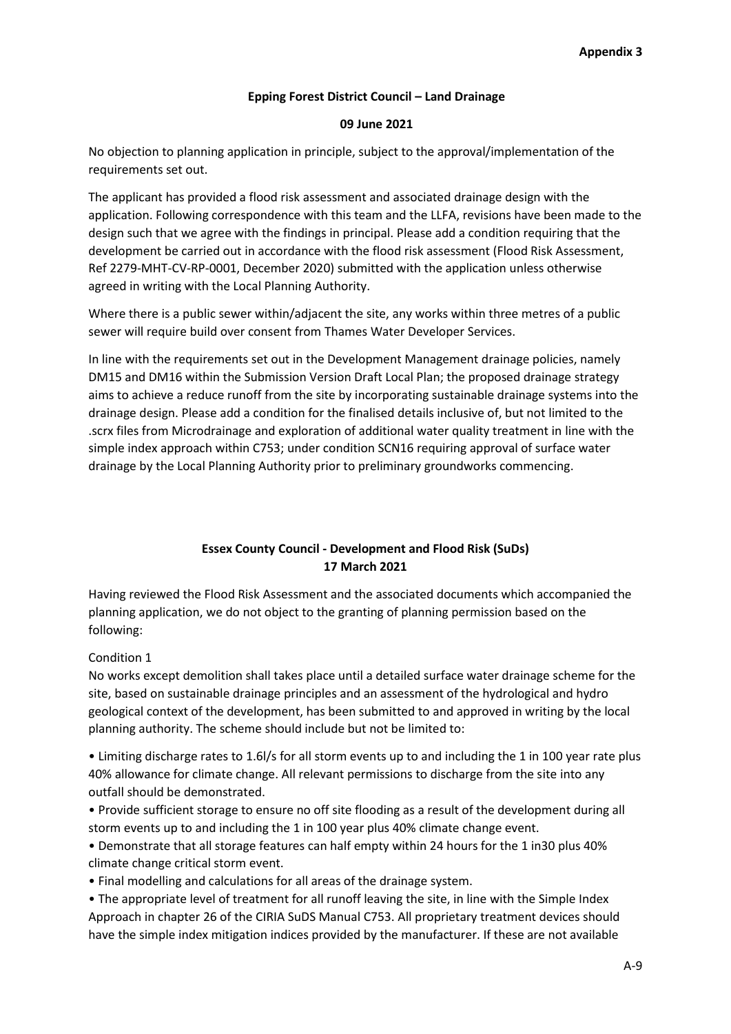## **Epping Forest District Council – Land Drainage**

### **09 June 2021**

No objection to planning application in principle, subject to the approval/implementation of the requirements set out.

The applicant has provided a flood risk assessment and associated drainage design with the application. Following correspondence with this team and the LLFA, revisions have been made to the design such that we agree with the findings in principal. Please add a condition requiring that the development be carried out in accordance with the flood risk assessment (Flood Risk Assessment, Ref 2279-MHT-CV-RP-0001, December 2020) submitted with the application unless otherwise agreed in writing with the Local Planning Authority.

Where there is a public sewer within/adjacent the site, any works within three metres of a public sewer will require build over consent from Thames Water Developer Services.

In line with the requirements set out in the Development Management drainage policies, namely DM15 and DM16 within the Submission Version Draft Local Plan; the proposed drainage strategy aims to achieve a reduce runoff from the site by incorporating sustainable drainage systems into the drainage design. Please add a condition for the finalised details inclusive of, but not limited to the .scrx files from Microdrainage and exploration of additional water quality treatment in line with the simple index approach within C753; under condition SCN16 requiring approval of surface water drainage by the Local Planning Authority prior to preliminary groundworks commencing.

# **Essex County Council - Development and Flood Risk (SuDs) 17 March 2021**

Having reviewed the Flood Risk Assessment and the associated documents which accompanied the planning application, we do not object to the granting of planning permission based on the following:

### Condition 1

No works except demolition shall takes place until a detailed surface water drainage scheme for the site, based on sustainable drainage principles and an assessment of the hydrological and hydro geological context of the development, has been submitted to and approved in writing by the local planning authority. The scheme should include but not be limited to:

• Limiting discharge rates to 1.6l/s for all storm events up to and including the 1 in 100 year rate plus 40% allowance for climate change. All relevant permissions to discharge from the site into any outfall should be demonstrated.

- Provide sufficient storage to ensure no off site flooding as a result of the development during all storm events up to and including the 1 in 100 year plus 40% climate change event.
- Demonstrate that all storage features can half empty within 24 hours for the 1 in30 plus 40% climate change critical storm event.
- Final modelling and calculations for all areas of the drainage system.
- The appropriate level of treatment for all runoff leaving the site, in line with the Simple Index Approach in chapter 26 of the CIRIA SuDS Manual C753. All proprietary treatment devices should have the simple index mitigation indices provided by the manufacturer. If these are not available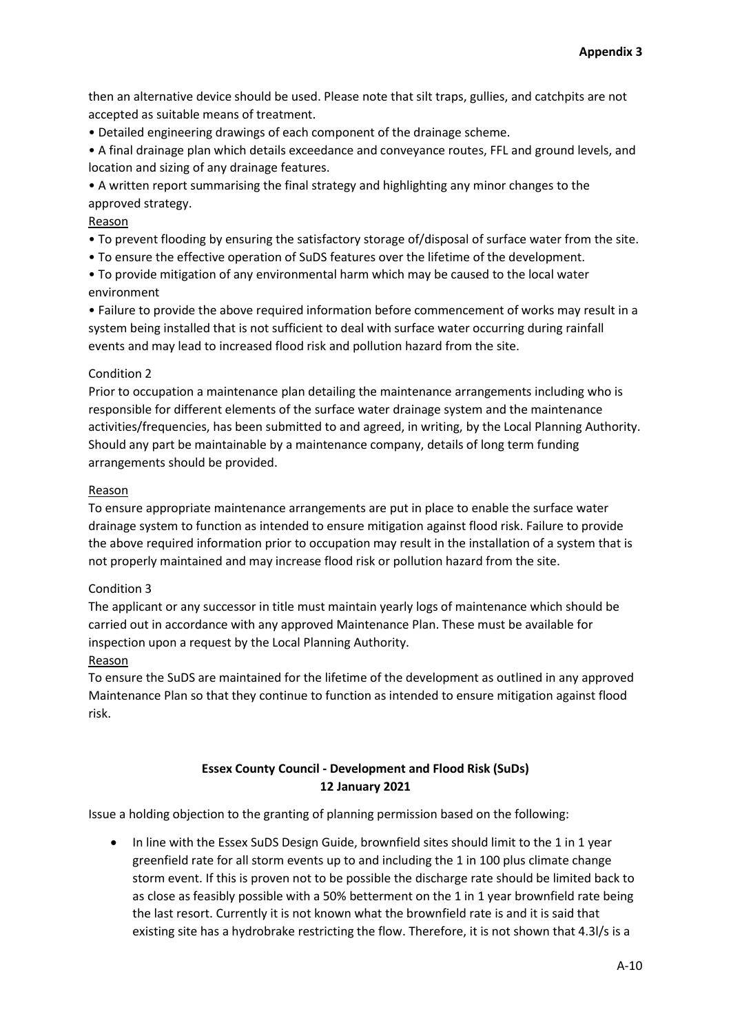then an alternative device should be used. Please note that silt traps, gullies, and catchpits are not accepted as suitable means of treatment.

• Detailed engineering drawings of each component of the drainage scheme.

• A final drainage plan which details exceedance and conveyance routes, FFL and ground levels, and location and sizing of any drainage features.

• A written report summarising the final strategy and highlighting any minor changes to the approved strategy.

## Reason

• To prevent flooding by ensuring the satisfactory storage of/disposal of surface water from the site.

• To ensure the effective operation of SuDS features over the lifetime of the development.

• To provide mitigation of any environmental harm which may be caused to the local water environment

• Failure to provide the above required information before commencement of works may result in a system being installed that is not sufficient to deal with surface water occurring during rainfall events and may lead to increased flood risk and pollution hazard from the site.

## Condition 2

Prior to occupation a maintenance plan detailing the maintenance arrangements including who is responsible for different elements of the surface water drainage system and the maintenance activities/frequencies, has been submitted to and agreed, in writing, by the Local Planning Authority. Should any part be maintainable by a maintenance company, details of long term funding arrangements should be provided.

## Reason

To ensure appropriate maintenance arrangements are put in place to enable the surface water drainage system to function as intended to ensure mitigation against flood risk. Failure to provide the above required information prior to occupation may result in the installation of a system that is not properly maintained and may increase flood risk or pollution hazard from the site.

## Condition 3

The applicant or any successor in title must maintain yearly logs of maintenance which should be carried out in accordance with any approved Maintenance Plan. These must be available for inspection upon a request by the Local Planning Authority.

## Reason

To ensure the SuDS are maintained for the lifetime of the development as outlined in any approved Maintenance Plan so that they continue to function as intended to ensure mitigation against flood risk.

## **Essex County Council - Development and Flood Risk (SuDs) 12 January 2021**

Issue a holding objection to the granting of planning permission based on the following:

• In line with the Essex SuDS Design Guide, brownfield sites should limit to the 1 in 1 year greenfield rate for all storm events up to and including the 1 in 100 plus climate change storm event. If this is proven not to be possible the discharge rate should be limited back to as close as feasibly possible with a 50% betterment on the 1 in 1 year brownfield rate being the last resort. Currently it is not known what the brownfield rate is and it is said that existing site has a hydrobrake restricting the flow. Therefore, it is not shown that 4.3l/s is a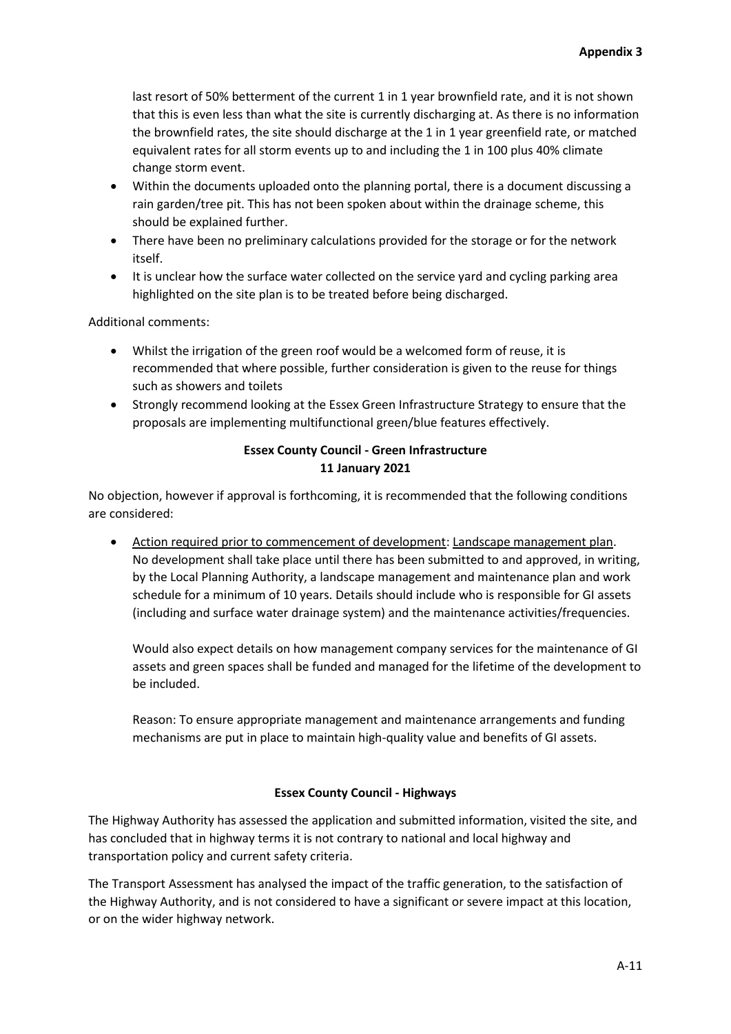last resort of 50% betterment of the current 1 in 1 year brownfield rate, and it is not shown that this is even less than what the site is currently discharging at. As there is no information the brownfield rates, the site should discharge at the 1 in 1 year greenfield rate, or matched equivalent rates for all storm events up to and including the 1 in 100 plus 40% climate change storm event.

- Within the documents uploaded onto the planning portal, there is a document discussing a rain garden/tree pit. This has not been spoken about within the drainage scheme, this should be explained further.
- There have been no preliminary calculations provided for the storage or for the network itself.
- It is unclear how the surface water collected on the service yard and cycling parking area highlighted on the site plan is to be treated before being discharged.

Additional comments:

- Whilst the irrigation of the green roof would be a welcomed form of reuse, it is recommended that where possible, further consideration is given to the reuse for things such as showers and toilets
- Strongly recommend looking at the Essex Green Infrastructure Strategy to ensure that the proposals are implementing multifunctional green/blue features effectively.

# **Essex County Council - Green Infrastructure 11 January 2021**

No objection, however if approval is forthcoming, it is recommended that the following conditions are considered:

 Action required prior to commencement of development: Landscape management plan. No development shall take place until there has been submitted to and approved, in writing, by the Local Planning Authority, a landscape management and maintenance plan and work schedule for a minimum of 10 years. Details should include who is responsible for GI assets (including and surface water drainage system) and the maintenance activities/frequencies.

Would also expect details on how management company services for the maintenance of GI assets and green spaces shall be funded and managed for the lifetime of the development to be included.

Reason: To ensure appropriate management and maintenance arrangements and funding mechanisms are put in place to maintain high-quality value and benefits of GI assets.

### **Essex County Council - Highways**

The Highway Authority has assessed the application and submitted information, visited the site, and has concluded that in highway terms it is not contrary to national and local highway and transportation policy and current safety criteria.

The Transport Assessment has analysed the impact of the traffic generation, to the satisfaction of the Highway Authority, and is not considered to have a significant or severe impact at this location, or on the wider highway network.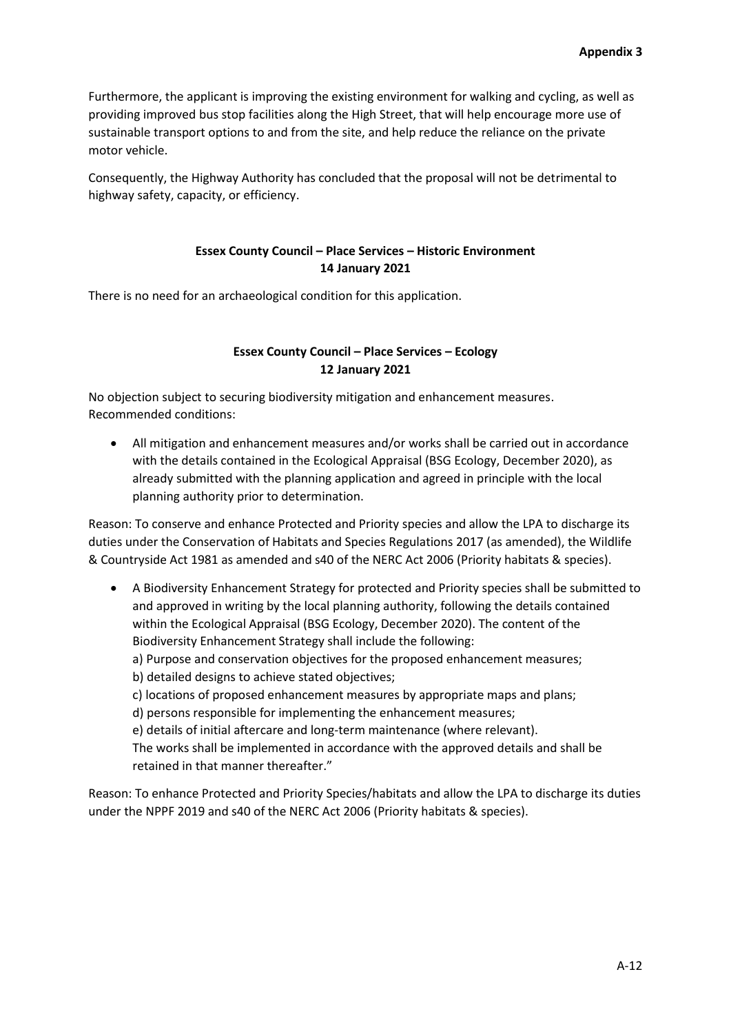Furthermore, the applicant is improving the existing environment for walking and cycling, as well as providing improved bus stop facilities along the High Street, that will help encourage more use of sustainable transport options to and from the site, and help reduce the reliance on the private motor vehicle.

Consequently, the Highway Authority has concluded that the proposal will not be detrimental to highway safety, capacity, or efficiency.

## **Essex County Council – Place Services – Historic Environment 14 January 2021**

There is no need for an archaeological condition for this application.

## **Essex County Council – Place Services – Ecology 12 January 2021**

No objection subject to securing biodiversity mitigation and enhancement measures. Recommended conditions:

 All mitigation and enhancement measures and/or works shall be carried out in accordance with the details contained in the Ecological Appraisal (BSG Ecology, December 2020), as already submitted with the planning application and agreed in principle with the local planning authority prior to determination.

Reason: To conserve and enhance Protected and Priority species and allow the LPA to discharge its duties under the Conservation of Habitats and Species Regulations 2017 (as amended), the Wildlife & Countryside Act 1981 as amended and s40 of the NERC Act 2006 (Priority habitats & species).

- A Biodiversity Enhancement Strategy for protected and Priority species shall be submitted to and approved in writing by the local planning authority, following the details contained within the Ecological Appraisal (BSG Ecology, December 2020). The content of the Biodiversity Enhancement Strategy shall include the following:
	- a) Purpose and conservation objectives for the proposed enhancement measures;
	- b) detailed designs to achieve stated objectives;
	- c) locations of proposed enhancement measures by appropriate maps and plans;

d) persons responsible for implementing the enhancement measures;

e) details of initial aftercare and long-term maintenance (where relevant).

The works shall be implemented in accordance with the approved details and shall be retained in that manner thereafter."

Reason: To enhance Protected and Priority Species/habitats and allow the LPA to discharge its duties under the NPPF 2019 and s40 of the NERC Act 2006 (Priority habitats & species).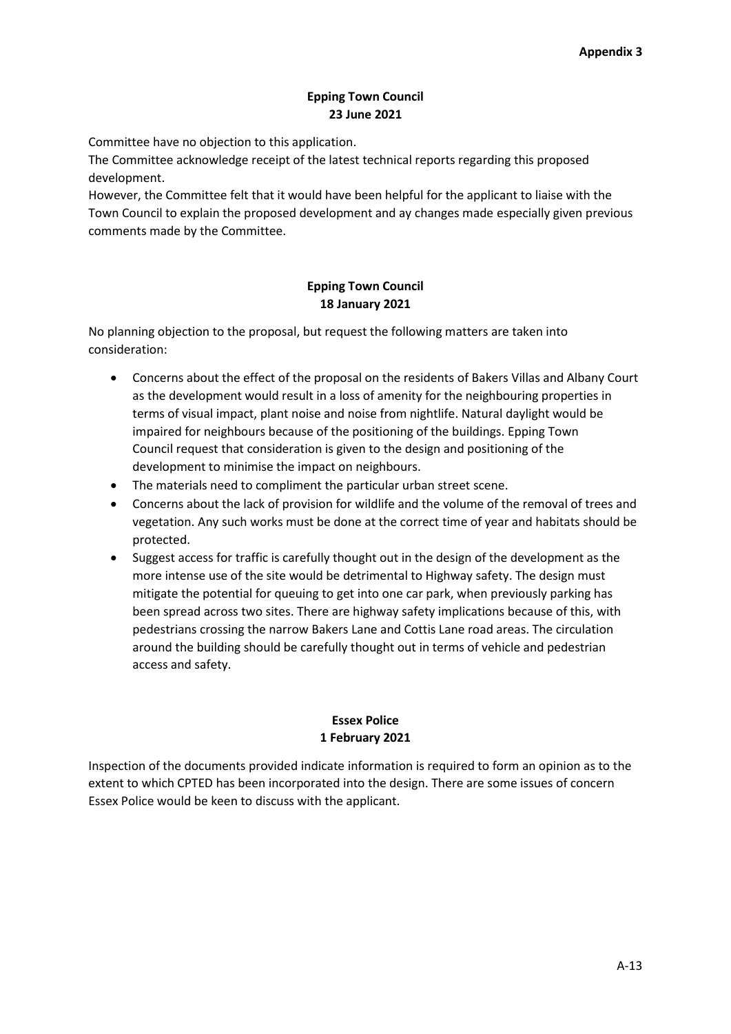# **Epping Town Council 23 June 2021**

Committee have no objection to this application.

The Committee acknowledge receipt of the latest technical reports regarding this proposed development.

However, the Committee felt that it would have been helpful for the applicant to liaise with the Town Council to explain the proposed development and ay changes made especially given previous comments made by the Committee.

# **Epping Town Council 18 January 2021**

No planning objection to the proposal, but request the following matters are taken into consideration:

- Concerns about the effect of the proposal on the residents of Bakers Villas and Albany Court as the development would result in a loss of amenity for the neighbouring properties in terms of visual impact, plant noise and noise from nightlife. Natural daylight would be impaired for neighbours because of the positioning of the buildings. Epping Town Council request that consideration is given to the design and positioning of the development to minimise the impact on neighbours.
- The materials need to compliment the particular urban street scene.
- Concerns about the lack of provision for wildlife and the volume of the removal of trees and vegetation. Any such works must be done at the correct time of year and habitats should be protected.
- Suggest access for traffic is carefully thought out in the design of the development as the more intense use of the site would be detrimental to Highway safety. The design must mitigate the potential for queuing to get into one car park, when previously parking has been spread across two sites. There are highway safety implications because of this, with pedestrians crossing the narrow Bakers Lane and Cottis Lane road areas. The circulation around the building should be carefully thought out in terms of vehicle and pedestrian access and safety.

## **Essex Police 1 February 2021**

Inspection of the documents provided indicate information is required to form an opinion as to the extent to which CPTED has been incorporated into the design. There are some issues of concern Essex Police would be keen to discuss with the applicant.